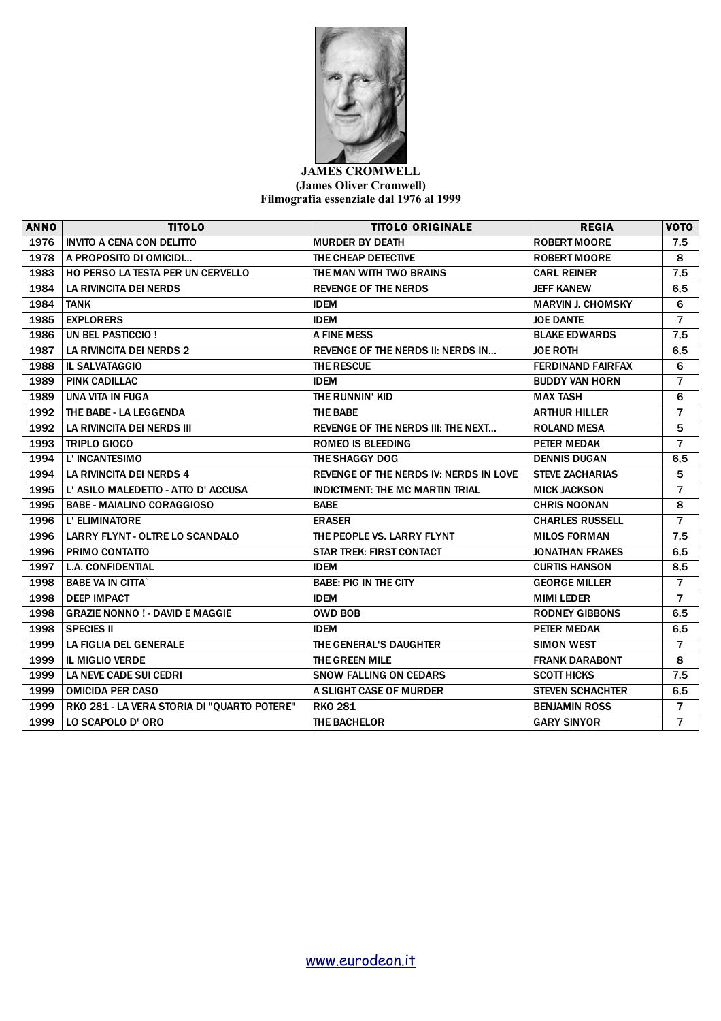

## **JAMES CROMWELL (James Oliver Cromwell) Filmografia essenziale dal 1976 al 1999**

| <b>ANNO</b> | <b>TITOLO</b>                               | <b>TITOLO ORIGINALE</b>                       | <b>REGIA</b>             | <b>VOTO</b>    |
|-------------|---------------------------------------------|-----------------------------------------------|--------------------------|----------------|
| 1976        | <b>INVITO A CENA CON DELITTO</b>            | <b>MURDER BY DEATH</b>                        | <b>ROBERT MOORE</b>      | 7,5            |
| 1978        | A PROPOSITO DI OMICIDI                      | THE CHEAP DETECTIVE                           | <b>ROBERT MOORE</b>      | 8              |
| 1983        | HO PERSO LA TESTA PER UN CERVELLO           | THE MAN WITH TWO BRAINS                       | <b>CARL REINER</b>       | 7,5            |
| 1984        | <b>LA RIVINCITA DEI NERDS</b>               | <b>REVENGE OF THE NERDS</b>                   | <b>JEFF KANEW</b>        | 6, 5           |
| 1984        | <b>TANK</b>                                 | <b>IDEM</b>                                   | <b>MARVIN J. CHOMSKY</b> | 6              |
| 1985        | <b>EXPLORERS</b>                            | <b>IDEM</b>                                   | <b>JOE DANTE</b>         | $\overline{7}$ |
| 1986        | UN BEL PASTICCIO !                          | <b>A FINE MESS</b>                            | <b>BLAKE EDWARDS</b>     | 7,5            |
| 1987        | <b>LA RIVINCITA DEI NERDS 2</b>             | <b>REVENGE OF THE NERDS II: NERDS IN</b>      | <b>JOE ROTH</b>          | 6,5            |
| 1988        | <b>IL SALVATAGGIO</b>                       | <b>THE RESCUE</b>                             | <b>FERDINAND FAIRFAX</b> | 6              |
| 1989        | <b>PINK CADILLAC</b>                        | <b>IDEM</b>                                   | <b>BUDDY VAN HORN</b>    | $\overline{7}$ |
| 1989        | UNA VITA IN FUGA                            | THE RUNNIN' KID                               | <b>MAX TASH</b>          | 6              |
| 1992        | THE BABE - LA LEGGENDA                      | THE BABE                                      | <b>ARTHUR HILLER</b>     | $\overline{7}$ |
| 1992        | LA RIVINCITA DEI NERDS III                  | <b>REVENGE OF THE NERDS III: THE NEXT</b>     | <b>ROLAND MESA</b>       | 5              |
| 1993        | <b>TRIPLO GIOCO</b>                         | <b>ROMEO IS BLEEDING</b>                      | <b>PETER MEDAK</b>       | $\overline{7}$ |
| 1994        | L' INCANTESIMO                              | THE SHAGGY DOG                                | <b>DENNIS DUGAN</b>      | 6,5            |
| 1994        | <b>LA RIVINCITA DEI NERDS 4</b>             | <b>REVENGE OF THE NERDS IV: NERDS IN LOVE</b> | <b>STEVE ZACHARIAS</b>   | 5              |
| 1995        | L' ASILO MALEDETTO - ATTO D' ACCUSA         | <b>INDICTMENT: THE MC MARTIN TRIAL</b>        | <b>MICK JACKSON</b>      | $\overline{7}$ |
| 1995        | <b>BABE - MAIALINO CORAGGIOSO</b>           | <b>BABE</b>                                   | <b>CHRIS NOONAN</b>      | 8              |
| 1996        | L' ELIMINATORE                              | <b>ERASER</b>                                 | <b>CHARLES RUSSELL</b>   | $\overline{7}$ |
| 1996        | <b>LARRY FLYNT - OLTRE LO SCANDALO</b>      | THE PEOPLE VS. LARRY FLYNT                    | <b>MILOS FORMAN</b>      | 7,5            |
| 1996        | PRIMO CONTATTO                              | <b>STAR TREK: FIRST CONTACT</b>               | <b>JONATHAN FRAKES</b>   | 6,5            |
| 1997        | <b>L.A. CONFIDENTIAL</b>                    | <b>IDEM</b>                                   | <b>CURTIS HANSON</b>     | 8,5            |
| 1998        | <b>BABE VA IN CITTA`</b>                    | <b>BABE: PIG IN THE CITY</b>                  | <b>GEORGE MILLER</b>     | $\overline{7}$ |
| 1998        | <b>DEEP IMPACT</b>                          | <b>IDEM</b>                                   | <b>MIMI LEDER</b>        | $\overline{7}$ |
| 1998        | <b>GRAZIE NONNO ! - DAVID E MAGGIE</b>      | <b>OWD BOB</b>                                | <b>RODNEY GIBBONS</b>    | 6,5            |
| 1998        | <b>SPECIES II</b>                           | <b>IDEM</b>                                   | <b>PETER MEDAK</b>       | 6,5            |
| 1999        | LA FIGLIA DEL GENERALE                      | THE GENERAL'S DAUGHTER                        | <b>SIMON WEST</b>        | $\overline{7}$ |
| 1999        | <b>IL MIGLIO VERDE</b>                      | <b>THE GREEN MILE</b>                         | <b>FRANK DARABONT</b>    | 8              |
| 1999        | <b>LA NEVE CADE SUI CEDRI</b>               | <b>SNOW FALLING ON CEDARS</b>                 | <b>SCOTT HICKS</b>       | 7,5            |
| 1999        | <b>OMICIDA PER CASO</b>                     | <b>A SLIGHT CASE OF MURDER</b>                | <b>STEVEN SCHACHTER</b>  | 6,5            |
| 1999        | RKO 281 - LA VERA STORIA DI "QUARTO POTERE" | <b>RKO 281</b>                                | <b>BENJAMIN ROSS</b>     | $\overline{7}$ |
| 1999        | LO SCAPOLO D'ORO                            | <b>THE BACHELOR</b>                           | <b>GARY SINYOR</b>       | $\overline{7}$ |